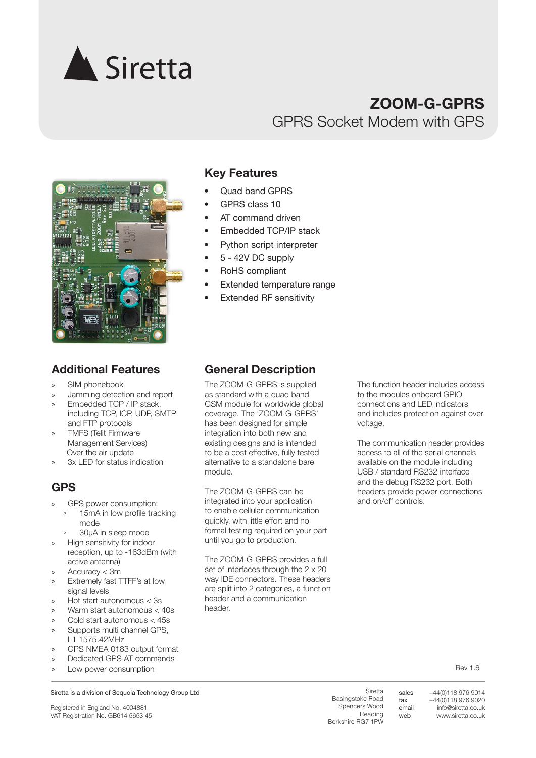

# **ZOOM-G-GPRS** GPRS Socket Modem with GPS



- » SIM phonebook
- » Jamming detection and report
- » Embedded TCP / IP stack, including TCP, ICP, UDP, SMTP and FTP protocols
- » TMFS (Telit Firmware Management Services) Over the air update
- 3x LED for status indication

# **GPS**

- GPS power consumption:
- 15mA in low profile tracking mode
- 30µA in sleep mode
- » High sensitivity for indoor reception, up to -163dBm (with active antenna)
- » Accuracy < 3m
- » Extremely fast TTFF's at low signal levels
- » Hot start autonomous < 3s
- » Warm start autonomous < 40s
- » Cold start autonomous < 45s
- Supports multi channel GPS. L1 1575.42MHz
- GPS NMEA 0183 output format
- » Dedicated GPS AT commands
- Low power consumption

#### Siretta is a division of Sequoia Technology Group Ltd

Registered in England No. 4004881 VAT Registration No. GB614 5653 45

# **Key Features**

- Quad band GPRS
- GPRS class 10
- AT command driven
- Embedded TCP/IP stack
- Python script interpreter
- 5 42V DC supply
- RoHS compliant
- Extended temperature range
- **Extended RF sensitivity**

# **Additional Features General Description**

The ZOOM-G-GPRS is supplied as standard with a quad band GSM module for worldwide global coverage. The 'ZOOM-G-GPRS' has been designed for simple integration into both new and existing designs and is intended to be a cost effective, fully tested alternative to a standalone bare module.

The ZOOM-G-GPRS can be integrated into your application to enable cellular communication quickly, with little effort and no formal testing required on your part until you go to production.

The ZOOM-G-GPRS provides a full set of interfaces through the 2 x 20 way IDE connectors. These headers are split into 2 categories, a function header and a communication header.

The function header includes access to the modules onboard GPIO connections and LED indicators and includes protection against over voltage.

The communication header provides access to all of the serial channels available on the module including USB / standard RS232 interface and the debug RS232 port. Both headers provide power connections and on/off controls.

Rev 1.6

**Siretta** Basingstoke Road Spencers Wood Reading Berkshire RG7 1PW

sales fax email web

+44(0)118 976 9014 +44(0)118 976 9020 info@siretta.co.uk www.siretta.co.uk